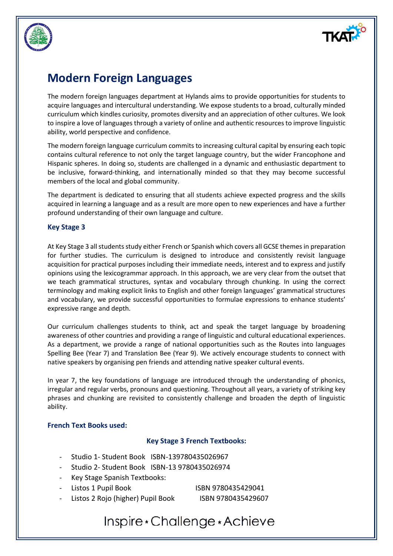



The modern foreign languages department at Hylands aims to provide opportunities for students to acquire languages and intercultural understanding. We expose students to a broad, culturally minded curriculum which kindles curiosity, promotes diversity and an appreciation of other cultures. We look to inspire a love of languages through a variety of online and authentic resources to improve linguistic ability, world perspective and confidence.

The modern foreign language curriculum commits to increasing cultural capital by ensuring each topic contains cultural reference to not only the target language country, but the wider Francophone and Hispanic spheres. In doing so, students are challenged in a dynamic and enthusiastic department to be inclusive, forward-thinking, and internationally minded so that they may become successful members of the local and global community.

The department is dedicated to ensuring that all students achieve expected progress and the skills acquired in learning a language and as a result are more open to new experiences and have a further profound understanding of their own language and culture.

#### **Key Stage 3**

At Key Stage 3 all students study either French or Spanish which covers all GCSE themes in preparation for further studies. The curriculum is designed to introduce and consistently revisit language acquisition for practical purposes including their immediate needs, interest and to express and justify opinions using the lexicogrammar approach. In this approach, we are very clear from the outset that we teach grammatical structures, syntax and vocabulary through chunking. In using the correct terminology and making explicit links to English and other foreign languages' grammatical structures and vocabulary, we provide successful opportunities to formulae expressions to enhance students' expressive range and depth.

Our curriculum challenges students to think, act and speak the target language by broadening awareness of other countries and providing a range of linguistic and cultural educational experiences. As a department, we provide a range of national opportunities such as the Routes into languages Spelling Bee (Year 7) and Translation Bee (Year 9). We actively encourage students to connect with native speakers by organising pen friends and attending native speaker cultural events.

In year 7, the key foundations of language are introduced through the understanding of phonics, irregular and regular verbs, pronouns and questioning. Throughout all years, a variety of striking key phrases and chunking are revisited to consistently challenge and broaden the depth of linguistic ability.

#### **French Text Books used:**

#### **Key Stage 3 French Textbooks:**

- Studio 1- Student Book ISBN-139780435026967
- Studio 2- Student Book ISBN-13 9780435026974
- Key Stage Spanish Textbooks:
- 

Listos 1 Pupil Book ISBN 9780435429041

Listos 2 Rojo (higher) Pupil Book ISBN 9780435429607

## Inspire \* Challenge \* Achieve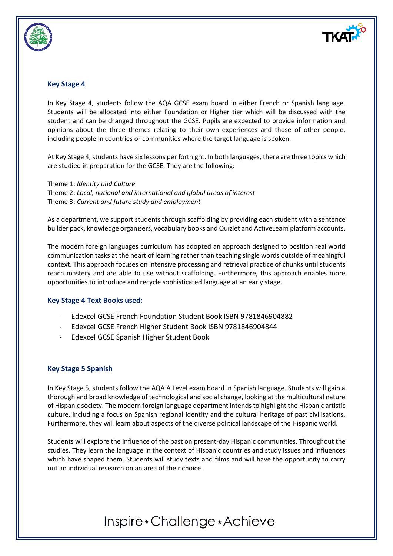

#### **Key Stage 4**

In Key Stage 4, students follow the AQA GCSE exam board in either French or Spanish language. Students will be allocated into either Foundation or Higher tier which will be discussed with the student and can be changed throughout the GCSE. Pupils are expected to provide information and opinions about the three themes relating to their own experiences and those of other people, including people in countries or communities where the target language is spoken.

At Key Stage 4, students have six lessons per fortnight. In both languages, there are three topics which are studied in preparation for the GCSE. They are the following:

Theme 1: *Identity and Culture* Theme 2: *Local, national and international and global areas of interest* Theme 3: *Current and future study and employment*

As a department, we support students through scaffolding by providing each student with a sentence builder pack, knowledge organisers, vocabulary books and Quizlet and ActiveLearn platform accounts.

The modern foreign languages curriculum has adopted an approach designed to position real world communication tasks at the heart of learning rather than teaching single words outside of meaningful context. This approach focuses on intensive processing and retrieval practice of chunks until students reach mastery and are able to use without scaffolding. Furthermore, this approach enables more opportunities to introduce and recycle sophisticated language at an early stage.

#### **Key Stage 4 Text Books used:**

- Edexcel GCSE French Foundation Student Book ISBN 9781846904882
- Edexcel GCSE French Higher Student Book ISBN 9781846904844
- Edexcel GCSE Spanish Higher Student Book

#### **Key Stage 5 Spanish**

In Key Stage 5, students follow the AQA A Level exam board in Spanish language. Students will gain a thorough and broad knowledge of technological and social change, looking at the multicultural nature of Hispanic society. The modern foreign language department intends to highlight the Hispanic artistic culture, including a focus on Spanish regional identity and the cultural heritage of past civilisations. Furthermore, they will learn about aspects of the diverse political landscape of the Hispanic world.

Students will explore the influence of the past on present-day Hispanic communities. Throughout the studies. They learn the language in the context of Hispanic countries and study issues and influences which have shaped them. Students will study texts and films and will have the opportunity to carry out an individual research on an area of their choice.

# Inspire \* Challenge \* Achieve